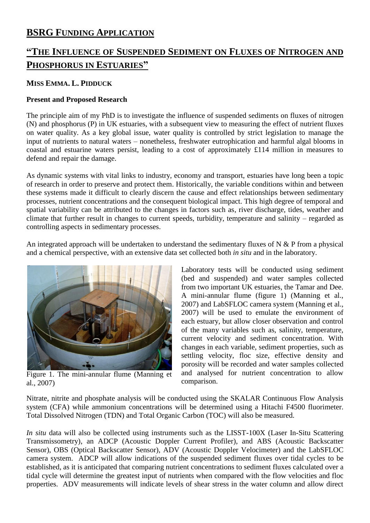## **BSRG FUNDING APPLICATION**

# **"THE INFLUENCE OF SUSPENDED SEDIMENT ON FLUXES OF NITROGEN AND PHOSPHORUS IN ESTUARIES"**

### **MISS EMMA. L. PIDDUCK**

### **Present and Proposed Research**

The principle aim of my PhD is to investigate the influence of suspended sediments on fluxes of nitrogen (N) and phosphorus (P) in UK estuaries, with a subsequent view to measuring the effect of nutrient fluxes on water quality. As a key global issue, water quality is controlled by strict legislation to manage the input of nutrients to natural waters – nonetheless, freshwater eutrophication and harmful algal blooms in coastal and estuarine waters persist, leading to a cost of approximately £114 million in measures to defend and repair the damage.

As dynamic systems with vital links to industry, economy and transport, estuaries have long been a topic of research in order to preserve and protect them. Historically, the variable conditions within and between these systems made it difficult to clearly discern the cause and effect relationships between sedimentary processes, nutrient concentrations and the consequent biological impact. This high degree of temporal and spatial variability can be attributed to the changes in factors such as, river discharge, tides, weather and climate that further result in changes to current speeds, turbidity, temperature and salinity – regarded as controlling aspects in sedimentary processes.

An integrated approach will be undertaken to understand the sedimentary fluxes of N & P from a physical and a chemical perspective, with an extensive data set collected both *in situ* and in the laboratory.



Figure 1. The mini-annular flume (Manning et al., 2007)

Laboratory tests will be conducted using sediment (bed and suspended) and water samples collected from two important UK estuaries, the Tamar and Dee. A mini-annular flume (figure 1) (Manning et al., 2007) and LabSFLOC camera system (Manning et al., 2007) will be used to emulate the environment of each estuary, but allow closer observation and control of the many variables such as, salinity, temperature, current velocity and sediment concentration. With changes in each variable, sediment properties, such as settling velocity, floc size, effective density and porosity will be recorded and water samples collected and analysed for nutrient concentration to allow comparison.

Nitrate, nitrite and phosphate analysis will be conducted using the SKALAR Continuous Flow Analysis system (CFA) while ammonium concentrations will be determined using a Hitachi F4500 fluorimeter. Total Dissolved Nitrogen (TDN) and Total Organic Carbon (TOC) will also be measured.

*In situ* data will also be collected using instruments such as the LISST-100X (Laser In-Situ Scattering Transmissometry), an ADCP (Acoustic Doppler Current Profiler), and ABS (Acoustic Backscatter Sensor), OBS (Optical Backscatter Sensor), ADV (Acoustic Doppler Velocimeter) and the LabSFLOC camera system. ADCP will allow indications of the suspended sediment fluxes over tidal cycles to be established, as it is anticipated that comparing nutrient concentrations to sediment fluxes calculated over a tidal cycle will determine the greatest input of nutrients when compared with the flow velocities and floc properties. ADV measurements will indicate levels of shear stress in the water column and allow direct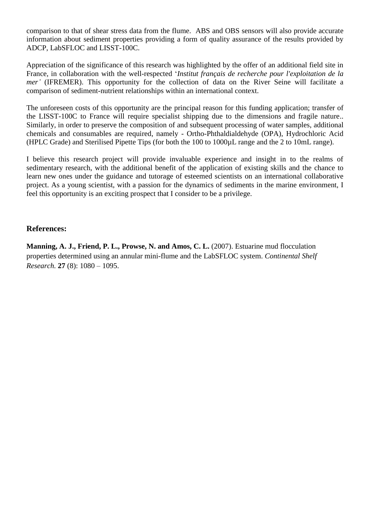comparison to that of shear stress data from the flume. ABS and OBS sensors will also provide accurate information about sediment properties providing a form of quality assurance of the results provided by ADCP, LabSFLOC and LISST-100C.

Appreciation of the significance of this research was highlighted by the offer of an additional field site in France, in collaboration with the well-respected '*Institut français de recherche pour l'exploitation de la mer'* (IFREMER). This opportunity for the collection of data on the River Seine will facilitate a comparison of sediment-nutrient relationships within an international context.

The unforeseen costs of this opportunity are the principal reason for this funding application; transfer of the LISST-100C to France will require specialist shipping due to the dimensions and fragile nature.. Similarly, in order to preserve the composition of and subsequent processing of water samples, additional chemicals and consumables are required, namely - Ortho-Phthaldialdehyde (OPA), Hydrochloric Acid (HPLC Grade) and Sterilised Pipette Tips (for both the 100 to 1000µL range and the 2 to 10mL range).

I believe this research project will provide invaluable experience and insight in to the realms of sedimentary research, with the additional benefit of the application of existing skills and the chance to learn new ones under the guidance and tutorage of esteemed scientists on an international collaborative project. As a young scientist, with a passion for the dynamics of sediments in the marine environment, I feel this opportunity is an exciting prospect that I consider to be a privilege.

#### **References:**

**Manning, A. J., Friend, P. L., Prowse, N. and Amos, C. L.** (2007). Estuarine mud flocculation properties determined using an annular mini-flume and the LabSFLOC system. *Continental Shelf Research.* **27** (8): 1080 – 1095.